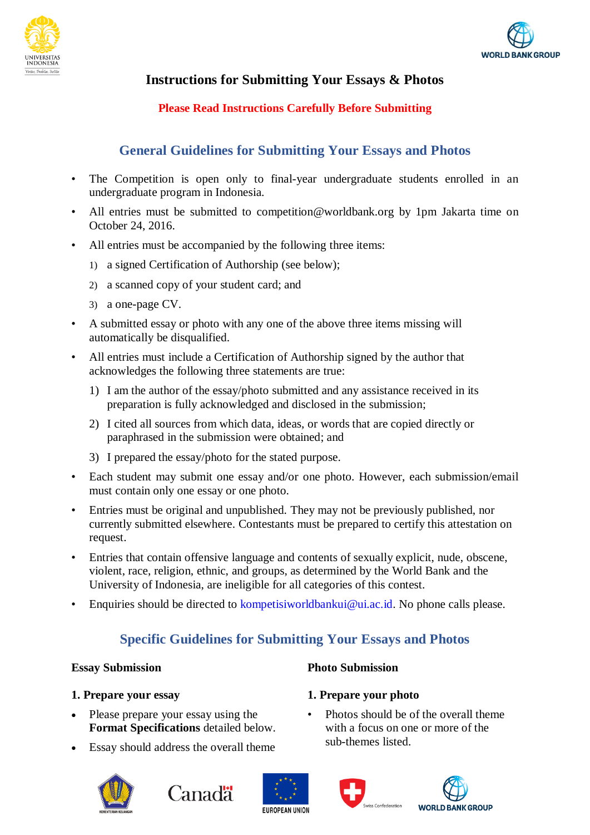



# **Instructions for Submitting Your Essays & Photos**

# **Please Read Instructions Carefully Before Submitting**

# **General Guidelines for Submitting Your Essays and Photos**

- The Competition is open only to final-year undergraduate students enrolled in an undergraduate program in Indonesia.
- All entries must be submitted to competition@worldbank.org by 1pm Jakarta time on October 24, 2016.
- All entries must be accompanied by the following three items:
	- 1) a signed Certification of Authorship (see below);
	- 2) a scanned copy of your student card; and
	- 3) a one-page CV.
- A submitted essay or photo with any one of the above three items missing will automatically be disqualified.
- All entries must include a Certification of Authorship signed by the author that acknowledges the following three statements are true:
	- 1) I am the author of the essay/photo submitted and any assistance received in its preparation is fully acknowledged and disclosed in the submission;
	- 2) I cited all sources from which data, ideas, or words that are copied directly or paraphrased in the submission were obtained; and
	- 3) I prepared the essay/photo for the stated purpose.
- Each student may submit one essay and/or one photo. However, each submission/email must contain only one essay or one photo.
- Entries must be original and unpublished. They may not be previously published, nor currently submitted elsewhere. Contestants must be prepared to certify this attestation on request.
- Entries that contain offensive language and contents of sexually explicit, nude, obscene, violent, race, religion, ethnic, and groups, as determined by the World Bank and the University of Indonesia, are ineligible for all categories of this contest.
- Enquiries should be directed to [kompetisiworldbankui@ui.ac.id.](mailto:kompetisiworldbankui@ui.ac.id) No phone calls please.

# **Specific Guidelines for Submitting Your Essays and Photos**

## **Essay Submission**

## **1. Prepare your essay**

- Please prepare your essay using the **Format Specifications** detailed below.
- Essay should address the overall theme







# **Photo Submission**

# **1. Prepare your photo**

• Photos should be of the overall theme with a focus on one or more of the sub-themes listed.



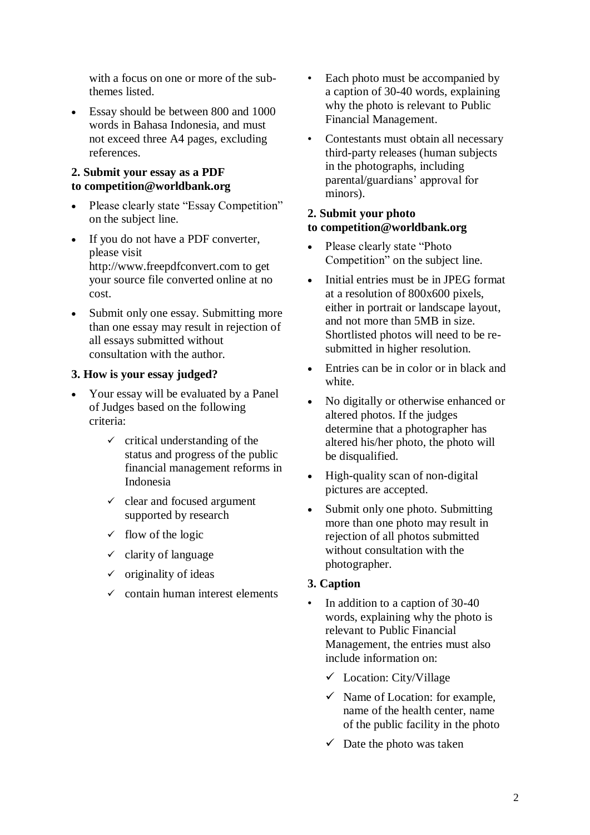with a focus on one or more of the subthemes listed.

 Essay should be between 800 and 1000 words in Bahasa Indonesia, and must not exceed three A4 pages, excluding references.

# **2. Submit your essay as a PDF to competition@worldbank.org**

- Please clearly state "Essay Competition" on the subject line.
- If you do not have a PDF converter, please visit [http://www.freepdfconvert.com](http://www.freepdfconvert.com/) to get your source file converted online at no cost.
- Submit only one essay. Submitting more than one essay may result in rejection of all essays submitted without consultation with the author.

## **3. How is your essay judged?**

- Your essay will be evaluated by a Panel of Judges based on the following criteria:
	- $\checkmark$  critical understanding of the status and progress of the public financial management reforms in Indonesia
	- $\checkmark$  clear and focused argument supported by research
	- $\checkmark$  flow of the logic
	- $\checkmark$  clarity of language
	- $\checkmark$  originality of ideas
	- $\checkmark$  contain human interest elements
- Each photo must be accompanied by a caption of 30-40 words, explaining why the photo is relevant to Public Financial Management.
- Contestants must obtain all necessary third-party releases (human subjects in the photographs, including parental/guardians' approval for minors).

## **2. Submit your photo to competition@worldbank.org**

- Please clearly state "Photo Competition" on the subject line.
- Initial entries must be in JPEG format at a resolution of 800x600 pixels, either in portrait or landscape layout, and not more than 5MB in size. Shortlisted photos will need to be resubmitted in higher resolution.
- Entries can be in color or in black and white.
- No digitally or otherwise enhanced or altered photos. If the judges determine that a photographer has altered his/her photo, the photo will be disqualified.
- High-quality scan of non-digital pictures are accepted.
- Submit only one photo. Submitting more than one photo may result in rejection of all photos submitted without consultation with the photographer.

## **3. Caption**

- In addition to a caption of 30-40 words, explaining why the photo is relevant to Public Financial Management, the entries must also include information on:
	- Location: City/Village
	- $\checkmark$  Name of Location: for example, name of the health center, name of the public facility in the photo
	- $\checkmark$  Date the photo was taken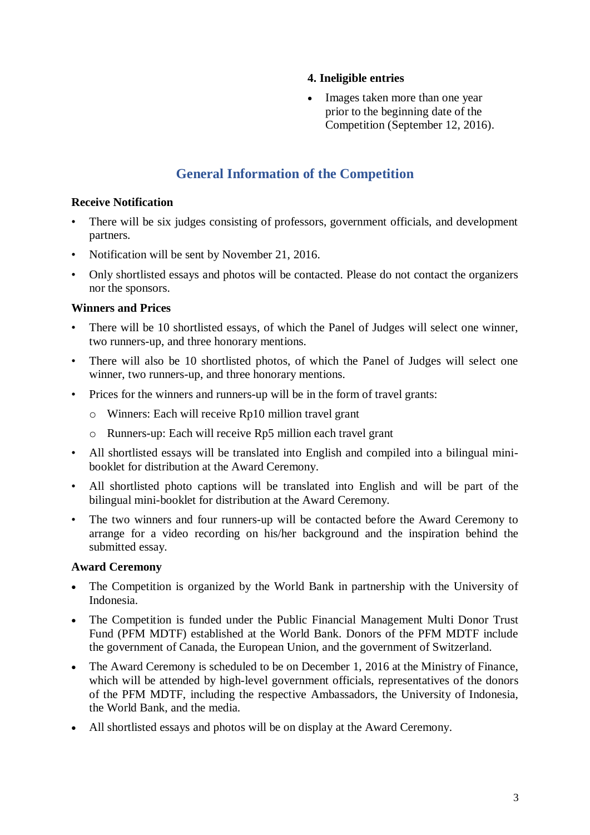## **4. Ineligible entries**

 Images taken more than one year prior to the beginning date of the Competition (September 12, 2016).

# **General Information of the Competition**

#### **Receive Notification**

- There will be six judges consisting of professors, government officials, and development partners.
- Notification will be sent by November 21, 2016.
- Only shortlisted essays and photos will be contacted. Please do not contact the organizers nor the sponsors.

#### **Winners and Prices**

- There will be 10 shortlisted essays, of which the Panel of Judges will select one winner, two runners-up, and three honorary mentions.
- There will also be 10 shortlisted photos, of which the Panel of Judges will select one winner, two runners-up, and three honorary mentions.
- Prices for the winners and runners-up will be in the form of travel grants:
	- o Winners: Each will receive Rp10 million travel grant
	- o Runners-up: Each will receive Rp5 million each travel grant
- All shortlisted essays will be translated into English and compiled into a bilingual minibooklet for distribution at the Award Ceremony.
- All shortlisted photo captions will be translated into English and will be part of the bilingual mini-booklet for distribution at the Award Ceremony.
- The two winners and four runners-up will be contacted before the Award Ceremony to arrange for a video recording on his/her background and the inspiration behind the submitted essay.

#### **Award Ceremony**

- The Competition is organized by the World Bank in partnership with the University of Indonesia.
- The Competition is funded under the Public Financial Management Multi Donor Trust Fund (PFM MDTF) established at the World Bank. Donors of the PFM MDTF include the government of Canada, the European Union, and the government of Switzerland.
- The Award Ceremony is scheduled to be on December 1, 2016 at the Ministry of Finance, which will be attended by high-level government officials, representatives of the donors of the PFM MDTF, including the respective Ambassadors, the University of Indonesia, the World Bank, and the media.
- All shortlisted essays and photos will be on display at the Award Ceremony.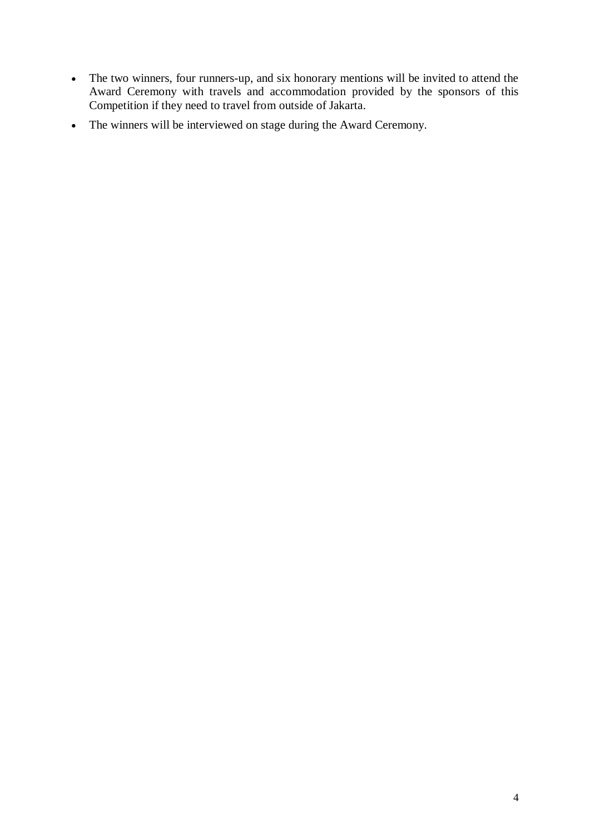- The two winners, four runners-up, and six honorary mentions will be invited to attend the Award Ceremony with travels and accommodation provided by the sponsors of this Competition if they need to travel from outside of Jakarta.
- The winners will be interviewed on stage during the Award Ceremony.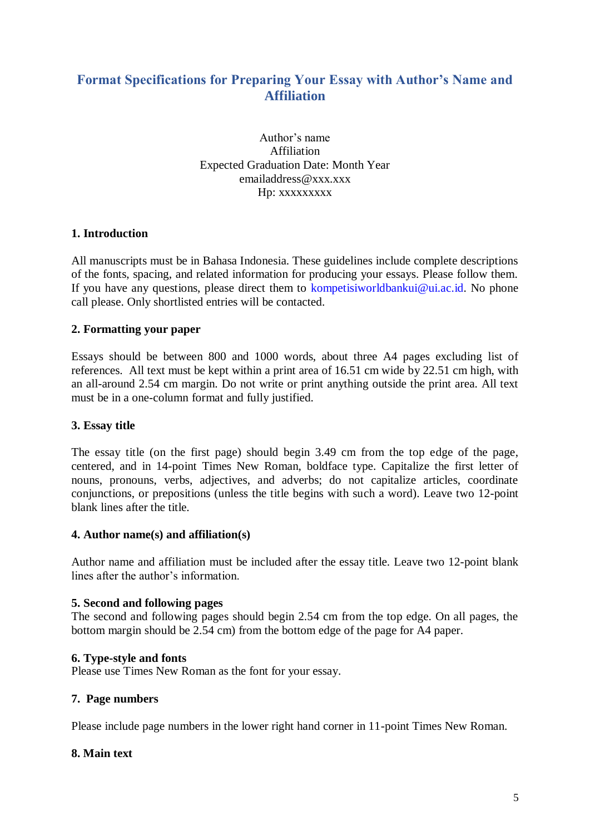# **Format Specifications for Preparing Your Essay with Author's Name and Affiliation**

Author's name Affiliation Expected Graduation Date: Month Year [emailaddress@xxx.xxx](mailto:emailaddress@xxx.xxx) H<sub>p</sub>: xxxxxxxxx

## **1. Introduction**

All manuscripts must be in Bahasa Indonesia. These guidelines include complete descriptions of the fonts, spacing, and related information for producing your essays. Please follow them. If you have any questions, please direct them to [kompetisiworldbankui@ui.ac.id.](mailto:kompetisiworldbankui@ui.ac.id) No phone call please. Only shortlisted entries will be contacted.

#### **2. Formatting your paper**

Essays should be between 800 and 1000 words, about three A4 pages excluding list of references. All text must be kept within a print area of 16.51 cm wide by 22.51 cm high, with an all-around 2.54 cm margin. Do not write or print anything outside the print area. All text must be in a one-column format and fully justified.

#### **3. Essay title**

The essay title (on the first page) should begin 3.49 cm from the top edge of the page, centered, and in 14-point Times New Roman, boldface type. Capitalize the first letter of nouns, pronouns, verbs, adjectives, and adverbs; do not capitalize articles, coordinate conjunctions, or prepositions (unless the title begins with such a word). Leave two 12-point blank lines after the title.

#### **4. Author name(s) and affiliation(s)**

Author name and affiliation must be included after the essay title. Leave two 12-point blank lines after the author's information.

#### **5. Second and following pages**

The second and following pages should begin 2.54 cm from the top edge. On all pages, the bottom margin should be 2.54 cm) from the bottom edge of the page for A4 paper.

#### **6. Type-style and fonts**

Please use Times New Roman as the font for your essay.

#### **7. Page numbers**

Please include page numbers in the lower right hand corner in 11-point Times New Roman.

## **8. Main text**